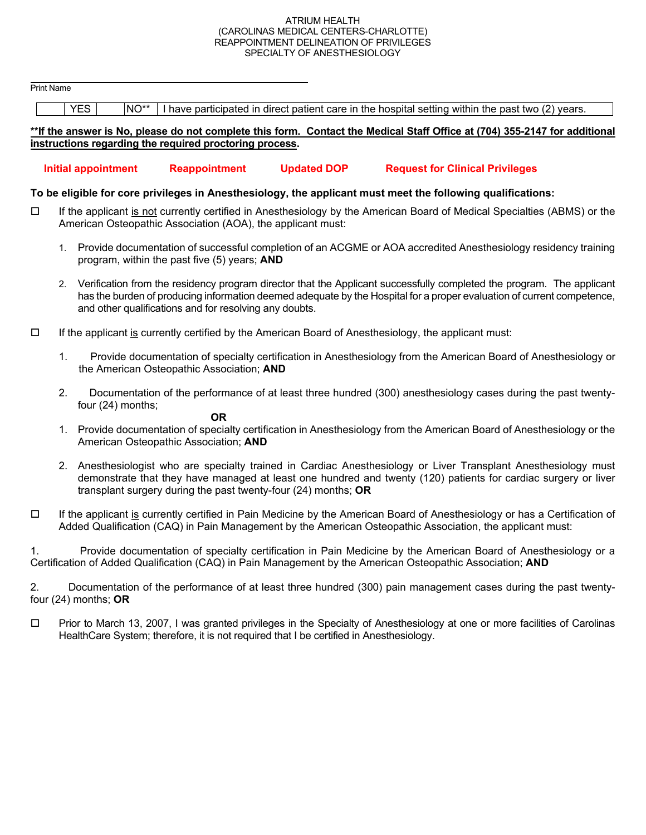### ATRIUM HEALTH (CAROLINAS MEDICAL CENTERS-CHARLOTTE) REAPPOINTMENT DELINEATION OF PRIVILEGES SPECIALTY OF ANESTHESIOLOGY

| OFEUIALI I UF ANEOTHEOIULUUT                                                                                                                                                                                                                                                                                 |  |  |  |  |  |  |  |  |  |
|--------------------------------------------------------------------------------------------------------------------------------------------------------------------------------------------------------------------------------------------------------------------------------------------------------------|--|--|--|--|--|--|--|--|--|
| <b>Print Name</b>                                                                                                                                                                                                                                                                                            |  |  |  |  |  |  |  |  |  |
| <b>YES</b><br>NO**<br>I have participated in direct patient care in the hospital setting within the past two (2) years.                                                                                                                                                                                      |  |  |  |  |  |  |  |  |  |
| **If the answer is No, please do not complete this form. Contact the Medical Staff Office at (704) 355-2147 for additional<br>instructions regarding the required proctoring process.                                                                                                                        |  |  |  |  |  |  |  |  |  |
| <b>Initial appointment</b><br><b>Reappointment</b><br><b>Updated DOP</b><br><b>Request for Clinical Privileges</b>                                                                                                                                                                                           |  |  |  |  |  |  |  |  |  |
| To be eligible for core privileges in Anesthesiology, the applicant must meet the following qualifications:                                                                                                                                                                                                  |  |  |  |  |  |  |  |  |  |
| $\Box$<br>If the applicant is not currently certified in Anesthesiology by the American Board of Medical Specialties (ABMS) or the<br>American Osteopathic Association (AOA), the applicant must:                                                                                                            |  |  |  |  |  |  |  |  |  |
| Provide documentation of successful completion of an ACGME or AOA accredited Anesthesiology residency training<br>1.<br>program, within the past five (5) years; AND                                                                                                                                         |  |  |  |  |  |  |  |  |  |
| 2. Verification from the residency program director that the Applicant successfully completed the program. The applicant<br>has the burden of producing information deemed adequate by the Hospital for a proper evaluation of current competence,<br>and other qualifications and for resolving any doubts. |  |  |  |  |  |  |  |  |  |
| If the applicant is currently certified by the American Board of Anesthesiology, the applicant must:<br>$\Box$                                                                                                                                                                                               |  |  |  |  |  |  |  |  |  |
| 1.<br>Provide documentation of specialty certification in Anesthesiology from the American Board of Anesthesiology or<br>the American Osteopathic Association; AND                                                                                                                                           |  |  |  |  |  |  |  |  |  |
| 2.<br>Documentation of the performance of at least three hundred (300) anesthesiology cases during the past twenty-<br>four (24) months;                                                                                                                                                                     |  |  |  |  |  |  |  |  |  |
| <b>OR</b><br>1. Provide documentation of specialty certification in Anesthesiology from the American Board of Anesthesiology or the<br>American Osteopathic Association; AND                                                                                                                                 |  |  |  |  |  |  |  |  |  |
| 2. Anesthesiologist who are specialty trained in Cardiac Anesthesiology or Liver Transplant Anesthesiology must<br>demonstrate that they have managed at least one hundred and twenty (120) patients for cardiac surgery or liver<br>transplant surgery during the past twenty-four $(24)$ months; OR        |  |  |  |  |  |  |  |  |  |
| If the applicant is currently certified in Pain Medicine by the American Board of Anesthesiology or has a Certification of<br>$\Box$<br>Added Qualification (CAQ) in Pain Management by the American Osteopathic Association, the applicant must:                                                            |  |  |  |  |  |  |  |  |  |
| Provide documentation of specialty certification in Pain Medicine by the American Board of Anesthesiology or a<br>1.<br>Certification of Added Qualification (CAQ) in Pain Management by the American Osteopathic Association; AND                                                                           |  |  |  |  |  |  |  |  |  |
| 2.<br>Documentation of the performance of at least three hundred (300) pain management cases during the past twenty-<br>four $(24)$ months; OR                                                                                                                                                               |  |  |  |  |  |  |  |  |  |
| Prior to March 13, 2007, I was granted privileges in the Specialty of Anesthesiology at one or more facilities of Carolinas<br>$\Box$<br>HealthCare System; therefore, it is not required that I be certified in Anesthesiology.                                                                             |  |  |  |  |  |  |  |  |  |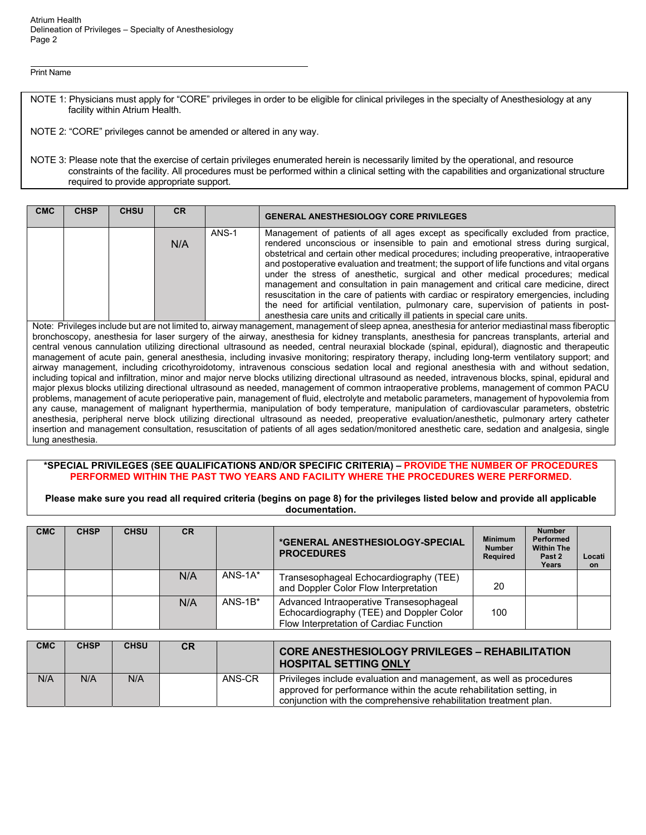NOTE 1: Physicians must apply for "CORE" privileges in order to be eligible for clinical privileges in the specialty of Anesthesiology at any facility within Atrium Health.

NOTE 2: "CORE" privileges cannot be amended or altered in any way.

NOTE 3: Please note that the exercise of certain privileges enumerated herein is necessarily limited by the operational, and resource constraints of the facility. All procedures must be performed within a clinical setting with the capabilities and organizational structure required to provide appropriate support.

| <b>CMC</b> | <b>CHSP</b> | <b>CHSU</b> | <b>CR</b> |       | <b>GENERAL ANESTHESIOLOGY CORE PRIVILEGES</b>                                                                                                                                                                                                                                                                                                                                                                                                                                                                                                                                                                                                                                                                                                                                                           |
|------------|-------------|-------------|-----------|-------|---------------------------------------------------------------------------------------------------------------------------------------------------------------------------------------------------------------------------------------------------------------------------------------------------------------------------------------------------------------------------------------------------------------------------------------------------------------------------------------------------------------------------------------------------------------------------------------------------------------------------------------------------------------------------------------------------------------------------------------------------------------------------------------------------------|
|            |             |             | N/A       | ANS-1 | Management of patients of all ages except as specifically excluded from practice,<br>rendered unconscious or insensible to pain and emotional stress during surgical.<br>obstetrical and certain other medical procedures; including preoperative, intraoperative<br>and postoperative evaluation and treatment; the support of life functions and vital organs<br>under the stress of anesthetic, surgical and other medical procedures; medical<br>management and consultation in pain management and critical care medicine, direct<br>resuscitation in the care of patients with cardiac or respiratory emergencies, including<br>the need for artificial ventilation, pulmonary care, supervision of patients in post-<br>anesthesia care units and critically ill patients in special care units. |

Note: Privileges include but are not limited to, airway management, management of sleep apnea, anesthesia for anterior mediastinal mass fiberoptic bronchoscopy, anesthesia for laser surgery of the airway, anesthesia for kidney transplants, anesthesia for pancreas transplants, arterial and central venous cannulation utilizing directional ultrasound as needed, central neuraxial blockade (spinal, epidural), diagnostic and therapeutic management of acute pain, general anesthesia, including invasive monitoring; respiratory therapy, including long-term ventilatory support; and airway management, including cricothyroidotomy, intravenous conscious sedation local and regional anesthesia with and without sedation, including topical and infiltration, minor and major nerve blocks utilizing directional ultrasound as needed, intravenous blocks, spinal, epidural and major plexus blocks utilizing directional ultrasound as needed, management of common intraoperative problems, management of common PACU problems, management of acute perioperative pain, management of fluid, electrolyte and metabolic parameters, management of hypovolemia from any cause, management of malignant hyperthermia, manipulation of body temperature, manipulation of cardiovascular parameters, obstetric anesthesia, peripheral nerve block utilizing directional ultrasound as needed, preoperative evaluation/anesthetic, pulmonary artery catheter insertion and management consultation, resuscitation of patients of all ages sedation/monitored anesthetic care, sedation and analgesia, single lung anesthesia.

#### **\*SPECIAL PRIVILEGES (SEE QUALIFICATIONS AND/OR SPECIFIC CRITERIA) – PROVIDE THE NUMBER OF PROCEDURES PERFORMED WITHIN THE PAST TWO YEARS AND FACILITY WHERE THE PROCEDURES WERE PERFORMED.**

**Please make sure you read all required criteria (begins on page 8) for the privileges listed below and provide all applicable documentation.** 

| <b>CMC</b> | <b>CHSP</b> | <b>CHSU</b> | <b>CR</b> |            | *GENERAL ANESTHESIOLOGY-SPECIAL<br><b>PROCEDURES</b>                                                                           | <b>Minimum</b><br><b>Number</b><br>Required | <b>Number</b><br>Performed<br><b>Within The</b><br>Past 2<br>Years | Locati<br><b>on</b> |
|------------|-------------|-------------|-----------|------------|--------------------------------------------------------------------------------------------------------------------------------|---------------------------------------------|--------------------------------------------------------------------|---------------------|
|            |             |             | N/A       | $ANS-1A*$  | Transesophageal Echocardiography (TEE)<br>and Doppler Color Flow Interpretation                                                | 20                                          |                                                                    |                     |
|            |             |             | N/A       | $ANS-1B^*$ | Advanced Intraoperative Transesophageal<br>Echocardiography (TEE) and Doppler Color<br>Flow Interpretation of Cardiac Function | 100                                         |                                                                    |                     |

| <b>CMC</b> | <b>CHSP</b> | <b>CHSU</b> | <b>CR</b> |        | <b>CORE ANESTHESIOLOGY PRIVILEGES - REHABILITATION</b><br><b>HOSPITAL SETTING ONLY</b>                                                                                                                           |
|------------|-------------|-------------|-----------|--------|------------------------------------------------------------------------------------------------------------------------------------------------------------------------------------------------------------------|
| N/A        | N/A         | N/A         |           | ANS-CR | Privileges include evaluation and management, as well as procedures<br>approved for performance within the acute rehabilitation setting, in<br>conjunction with the comprehensive rehabilitation treatment plan. |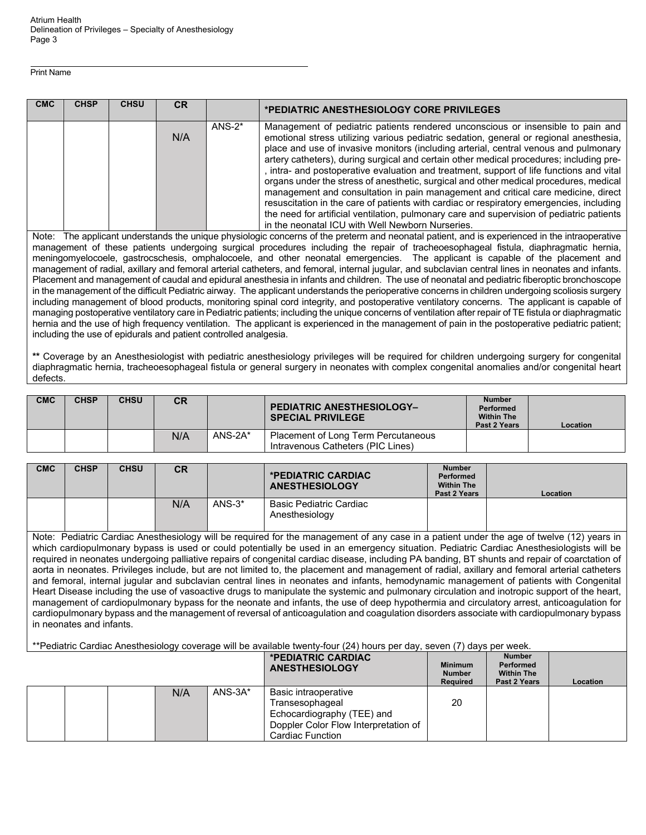Print Name

| <b>CMC</b> | <b>CHSP</b> | <b>CHSU</b> | <b>CR</b> |           | *PEDIATRIC ANESTHESIOLOGY CORE PRIVILEGES                                                                                                                                                                                                                                                                                                                                                                                                                                                                                                                                                                                                                                                                                                                                                                                                                                           |
|------------|-------------|-------------|-----------|-----------|-------------------------------------------------------------------------------------------------------------------------------------------------------------------------------------------------------------------------------------------------------------------------------------------------------------------------------------------------------------------------------------------------------------------------------------------------------------------------------------------------------------------------------------------------------------------------------------------------------------------------------------------------------------------------------------------------------------------------------------------------------------------------------------------------------------------------------------------------------------------------------------|
|            |             |             | N/A       | $ANS-2^*$ | Management of pediatric patients rendered unconscious or insensible to pain and<br>emotional stress utilizing various pediatric sedation, general or regional anesthesia,<br>place and use of invasive monitors (including arterial, central venous and pulmonary<br>artery catheters), during surgical and certain other medical procedures; including pre-<br>, intra- and postoperative evaluation and treatment, support of life functions and vital<br>organs under the stress of anesthetic, surgical and other medical procedures, medical<br>management and consultation in pain management and critical care medicine, direct<br>resuscitation in the care of patients with cardiac or respiratory emergencies, including<br>the need for artificial ventilation, pulmonary care and supervision of pediatric patients<br>in the neonatal ICU with Well Newborn Nurseries. |

Note: The applicant understands the unique physiologic concerns of the preterm and neonatal patient, and is experienced in the intraoperative management of these patients undergoing surgical procedures including the repair of tracheoesophageal fistula, diaphragmatic hernia, meningomyelocoele, gastrocschesis, omphalocoele, and other neonatal emergencies. The applicant is capable of the placement and management of radial, axillary and femoral arterial catheters, and femoral, internal jugular, and subclavian central lines in neonates and infants. Placement and management of caudal and epidural anesthesia in infants and children. The use of neonatal and pediatric fiberoptic bronchoscope in the management of the difficult Pediatric airway. The applicant understands the perioperative concerns in children undergoing scoliosis surgery including management of blood products, monitoring spinal cord integrity, and postoperative ventilatory concerns. The applicant is capable of managing postoperative ventilatory care in Pediatric patients; including the unique concerns of ventilation after repair of TE fistula or diaphragmatic hernia and the use of high frequency ventilation. The applicant is experienced in the management of pain in the postoperative pediatric patient; including the use of epidurals and patient controlled analgesia.

**\*\*** Coverage by an Anesthesiologist with pediatric anesthesiology privileges will be required for children undergoing surgery for congenital diaphragmatic hernia, tracheoesophageal fistula or general surgery in neonates with complex congenital anomalies and/or congenital heart defects.

| <b>CMC</b> | <b>CHSP</b> | <b>CHSU</b> | <b>CR</b> |           | <b>PEDIATRIC ANESTHESIOLOGY-</b><br><b>SPECIAL PRIVILEGE</b>             | <b>Number</b><br>Performed<br><b>Within The</b><br>Past 2 Years | Location |
|------------|-------------|-------------|-----------|-----------|--------------------------------------------------------------------------|-----------------------------------------------------------------|----------|
|            |             |             | N/A       | $ANS-2A*$ | Placement of Long Term Percutaneous<br>Intravenous Catheters (PIC Lines) |                                                                 |          |

| <b>CMC</b> | <b>CHSP</b> | <b>CHSU</b> | <b>CR</b> |          | *PEDIATRIC CARDIAC<br><b>ANESTHESIOLOGY</b>      | <b>Number</b><br>Performed<br><b>Within The</b><br>Past 2 Years | <b>Location</b> |
|------------|-------------|-------------|-----------|----------|--------------------------------------------------|-----------------------------------------------------------------|-----------------|
|            |             |             | N/A       | $ANS-3*$ | <b>Basic Pediatric Cardiac</b><br>Anesthesiology |                                                                 |                 |

Note: Pediatric Cardiac Anesthesiology will be required for the management of any case in a patient under the age of twelve (12) years in which cardiopulmonary bypass is used or could potentially be used in an emergency situation. Pediatric Cardiac Anesthesiologists will be required in neonates undergoing palliative repairs of congenital cardiac disease, including PA banding, BT shunts and repair of coarctation of aorta in neonates. Privileges include, but are not limited to, the placement and management of radial, axillary and femoral arterial catheters and femoral, internal jugular and subclavian central lines in neonates and infants, hemodynamic management of patients with Congenital Heart Disease including the use of vasoactive drugs to manipulate the systemic and pulmonary circulation and inotropic support of the heart, management of cardiopulmonary bypass for the neonate and infants, the use of deep hypothermia and circulatory arrest, anticoagulation for cardiopulmonary bypass and the management of reversal of anticoagulation and coagulation disorders associate with cardiopulmonary bypass in neonates and infants.

\*\*Pediatric Cardiac Anesthesiology coverage will be available twenty-four (24) hours per day, seven (7) days per week.

| --  |           | *PEDIATRIC CARDIAC<br><b>ANESTHESIOLOGY</b>                                                                                       | <b>Minimum</b><br><b>Number</b><br><b>Required</b> | <b>Number</b><br>Performed<br><b>Within The</b><br>Past 2 Years | Location |
|-----|-----------|-----------------------------------------------------------------------------------------------------------------------------------|----------------------------------------------------|-----------------------------------------------------------------|----------|
| N/A | $ANS-3A*$ | Basic intraoperative<br>Transesophageal<br>Echocardiography (TEE) and<br>Doppler Color Flow Interpretation of<br>Cardiac Function | 20                                                 |                                                                 |          |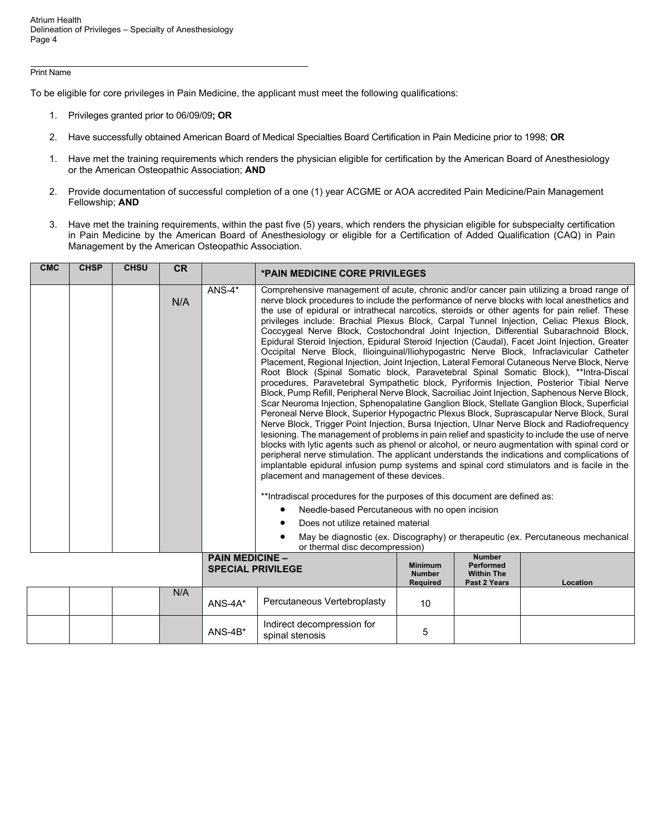To be eligible for core privileges in Pain Medicine, the applicant must meet the following qualifications:

- 1. Privileges granted prior to 06/09/09**; OR**
- 2. Have successfully obtained American Board of Medical Specialties Board Certification in Pain Medicine prior to 1998; **OR**
- 1. Have met the training requirements which renders the physician eligible for certification by the American Board of Anesthesiology or the American Osteopathic Association; **AND**
- 2. Provide documentation of successful completion of a one (1) year ACGME or AOA accredited Pain Medicine/Pain Management Fellowship; **AND**
- 3. Have met the training requirements, within the past five (5) years, which renders the physician eligible for subspecialty certification in Pain Medicine by the American Board of Anesthesiology or eligible for a Certification of Added Qualification (CAQ) in Pain Management by the American Osteopathic Association.

| <b>CMC</b> | <b>CHSP</b> | <b>CHSU</b> | <b>CR</b> |                        | *PAIN MEDICINE CORE PRIVILEGES                                                                                                                                                                                                                                                                                                                                                                                                                                                                                                                                                                                                                                                                                                                                                                                                                                                                                                                                                                                                                                                                                                                                                                                                                                                                                                                                                                                                                                                                                                                                                                                                                                                                                                                                                                                                                                                                                                                                                                                              |  |               |                                                                                 |  |  |  |
|------------|-------------|-------------|-----------|------------------------|-----------------------------------------------------------------------------------------------------------------------------------------------------------------------------------------------------------------------------------------------------------------------------------------------------------------------------------------------------------------------------------------------------------------------------------------------------------------------------------------------------------------------------------------------------------------------------------------------------------------------------------------------------------------------------------------------------------------------------------------------------------------------------------------------------------------------------------------------------------------------------------------------------------------------------------------------------------------------------------------------------------------------------------------------------------------------------------------------------------------------------------------------------------------------------------------------------------------------------------------------------------------------------------------------------------------------------------------------------------------------------------------------------------------------------------------------------------------------------------------------------------------------------------------------------------------------------------------------------------------------------------------------------------------------------------------------------------------------------------------------------------------------------------------------------------------------------------------------------------------------------------------------------------------------------------------------------------------------------------------------------------------------------|--|---------------|---------------------------------------------------------------------------------|--|--|--|
|            |             |             | N/A       | $ANS-4*$               | Comprehensive management of acute, chronic and/or cancer pain utilizing a broad range of<br>nerve block procedures to include the performance of nerve blocks with local anesthetics and<br>the use of epidural or intrathecal narcotics, steroids or other agents for pain relief. These<br>privileges include: Brachial Plexus Block, Carpal Tunnel Injection, Celiac Plexus Block,<br>Coccygeal Nerve Block, Costochondral Joint Injection, Differential Subarachnoid Block,<br>Epidural Steroid Injection, Epidural Steroid Injection (Caudal), Facet Joint Injection, Greater<br>Occipital Nerve Block, Ilioinguinal/Iliohypogastric Nerve Block, Infraclavicular Catheter<br>Placement, Regional Injection, Joint Injection, Lateral Femoral Cutaneous Nerve Block, Nerve<br>Root Block (Spinal Somatic block, Paravetebral Spinal Somatic Block), **Intra-Discal<br>procedures, Paravetebral Sympathetic block, Pyriformis Injection, Posterior Tibial Nerve<br>Block, Pump Refill, Peripheral Nerve Block, Sacroiliac Joint Injection, Saphenous Nerve Block,<br>Scar Neuroma Injection, Sphenopalatine Ganglion Block, Stellate Ganglion Block, Superficial<br>Peroneal Nerve Block, Superior Hypogactric Plexus Block, Suprascapular Nerve Block, Sural<br>Nerve Block, Trigger Point Injection, Bursa Injection, Ulnar Nerve Block and Radiofrequency<br>lesioning. The management of problems in pain relief and spasticity to include the use of nerve<br>blocks with lytic agents such as phenol or alcohol, or neuro augmentation with spinal cord or<br>peripheral nerve stimulation. The applicant understands the indications and complications of<br>implantable epidural infusion pump systems and spinal cord stimulators and is facile in the<br>placement and management of these devices.<br>** Intradiscal procedures for the purposes of this document are defined as:<br>Needle-based Percutaneous with no open incision<br>Does not utilize retained material<br>or thermal disc decompression) |  |               | May be diagnostic (ex. Discography) or therapeutic (ex. Percutaneous mechanical |  |  |  |
|            |             |             |           | <b>PAIN MEDICINE -</b> |                                                                                                                                                                                                                                                                                                                                                                                                                                                                                                                                                                                                                                                                                                                                                                                                                                                                                                                                                                                                                                                                                                                                                                                                                                                                                                                                                                                                                                                                                                                                                                                                                                                                                                                                                                                                                                                                                                                                                                                                                             |  | <b>Number</b> |                                                                                 |  |  |  |

|     |           | <b>SPECIAL PRIVILEGE</b>                      |    | Performed<br><b>Within The</b><br>Past 2 Years | Location |
|-----|-----------|-----------------------------------------------|----|------------------------------------------------|----------|
| N/A | $ANS-4A*$ | Percutaneous Vertebroplasty                   | 10 |                                                |          |
|     | ANS-4B*   | Indirect decompression for<br>spinal stenosis |    |                                                |          |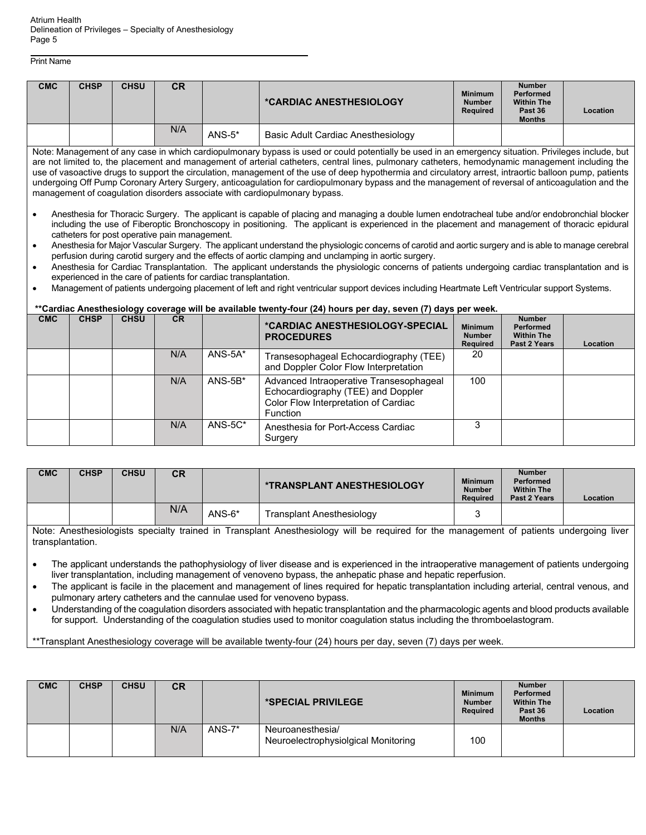| <b>CMC</b> | <b>CHSP</b> | <b>CHSU</b> | CR  |           | *CARDIAC ANESTHESIOLOGY            | <b>Minimum</b><br><b>Number</b><br>Required | <b>Number</b><br>Performed<br><b>Within The</b><br>Past 36<br><b>Months</b> | <b>Location</b> |
|------------|-------------|-------------|-----|-----------|------------------------------------|---------------------------------------------|-----------------------------------------------------------------------------|-----------------|
|            |             |             | N/A | $ANS-5^*$ | Basic Adult Cardiac Anesthesiology |                                             |                                                                             |                 |

Note: Management of any case in which cardiopulmonary bypass is used or could potentially be used in an emergency situation. Privileges include, but are not limited to, the placement and management of arterial catheters, central lines, pulmonary catheters, hemodynamic management including the use of vasoactive drugs to support the circulation, management of the use of deep hypothermia and circulatory arrest, intraortic balloon pump, patients undergoing Off Pump Coronary Artery Surgery, anticoagulation for cardiopulmonary bypass and the management of reversal of anticoagulation and the management of coagulation disorders associate with cardiopulmonary bypass.

- Anesthesia for Thoracic Surgery. The applicant is capable of placing and managing a double lumen endotracheal tube and/or endobronchial blocker including the use of Fiberoptic Bronchoscopy in positioning. The applicant is experienced in the placement and management of thoracic epidural catheters for post operative pain management.
- Anesthesia for Major Vascular Surgery. The applicant understand the physiologic concerns of carotid and aortic surgery and is able to manage cerebral perfusion during carotid surgery and the effects of aortic clamping and unclamping in aortic surgery.
- Anesthesia for Cardiac Transplantation. The applicant understands the physiologic concerns of patients undergoing cardiac transplantation and is experienced in the care of patients for cardiac transplantation.
- Management of patients undergoing placement of left and right ventricular support devices including Heartmate Left Ventricular support Systems.

#### **\*\*Cardiac Anesthesiology coverage will be available twenty-four (24) hours per day, seven (7) days per week.**

| <b>CMC</b> | <b>CHSP</b> | <b>CHSU</b> | <b>CR</b> |           | *CARDIAC ANESTHESIOLOGY-SPECIAL<br><b>PROCEDURES</b>                                                                                     | <b>Minimum</b><br><b>Number</b><br><b>Required</b> | <b>Number</b><br><b>Performed</b><br><b>Within The</b><br>Past 2 Years | Location |
|------------|-------------|-------------|-----------|-----------|------------------------------------------------------------------------------------------------------------------------------------------|----------------------------------------------------|------------------------------------------------------------------------|----------|
|            |             |             | N/A       | $ANS-5A*$ | Transesophageal Echocardiography (TEE)<br>and Doppler Color Flow Interpretation                                                          | 20                                                 |                                                                        |          |
|            |             |             | N/A       | $ANS-5B*$ | Advanced Intraoperative Transesophageal<br>Echocardiography (TEE) and Doppler<br>Color Flow Interpretation of Cardiac<br><b>Function</b> | 100                                                |                                                                        |          |
|            |             |             | N/A       | $ANS-5C*$ | Anesthesia for Port-Access Cardiac<br>Surgery                                                                                            | 3                                                  |                                                                        |          |

| <b>CMC</b> | <b>CHSP</b> | <b>CHSU</b> | CR  |          | <b>*TRANSPLANT ANESTHESIOLOGY</b> | <b>Minimum</b><br><b>Number</b><br><b>Required</b> | <b>Number</b><br><b>Performed</b><br><b>Within The</b><br>Past 2 Years | Location |
|------------|-------------|-------------|-----|----------|-----------------------------------|----------------------------------------------------|------------------------------------------------------------------------|----------|
|            |             |             | N/A | $ANS-6*$ | Transplant Anesthesiology         |                                                    |                                                                        |          |

Note: Anesthesiologists specialty trained in Transplant Anesthesiology will be required for the management of patients undergoing liver transplantation.

• The applicant understands the pathophysiology of liver disease and is experienced in the intraoperative management of patients undergoing liver transplantation, including management of venoveno bypass, the anhepatic phase and hepatic reperfusion.

- The applicant is facile in the placement and management of lines required for hepatic transplantation including arterial, central venous, and pulmonary artery catheters and the cannulae used for venoveno bypass.
- Understanding of the coagulation disorders associated with hepatic transplantation and the pharmacologic agents and blood products available for support. Understanding of the coagulation studies used to monitor coagulation status including the thromboelastogram.

\*\*Transplant Anesthesiology coverage will be available twenty-four (24) hours per day, seven (7) days per week.

| <b>CMC</b> | <b>CHSP</b> | <b>CHSU</b> | <b>CR</b> |          | *SPECIAL PRIVILEGE                                      | <b>Minimum</b><br><b>Number</b><br><b>Required</b> | <b>Number</b><br>Performed<br><b>Within The</b><br>Past 36<br><b>Months</b> | Location |
|------------|-------------|-------------|-----------|----------|---------------------------------------------------------|----------------------------------------------------|-----------------------------------------------------------------------------|----------|
|            |             |             | N/A       | $ANS-7*$ | Neuroanesthesia/<br>Neuroelectrophysiolgical Monitoring | 100                                                |                                                                             |          |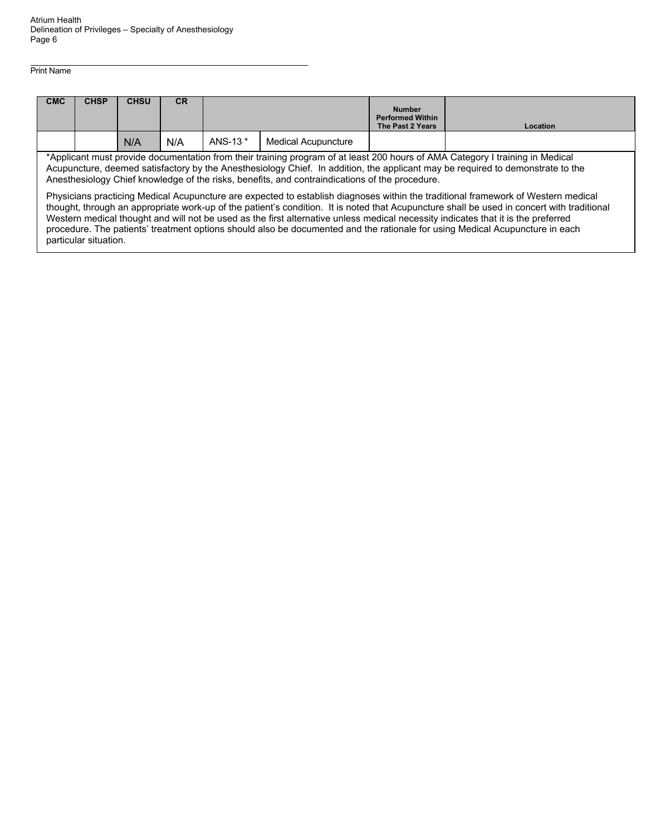| <b>CMC</b>                                                                                                                                                                                                                                                                                                                                                        | <b>CHSP</b> | <b>CHSU</b> | CR. |          |                     | <b>Number</b><br><b>Performed Within</b><br>The Past 2 Years | <b>Location</b> |
|-------------------------------------------------------------------------------------------------------------------------------------------------------------------------------------------------------------------------------------------------------------------------------------------------------------------------------------------------------------------|-------------|-------------|-----|----------|---------------------|--------------------------------------------------------------|-----------------|
|                                                                                                                                                                                                                                                                                                                                                                   |             | N/A         | N/A | ANS-13 * | Medical Acupuncture |                                                              |                 |
| *Applicant must provide documentation from their training program of at least 200 hours of AMA Category I training in Medical<br>Acupuncture, deemed satisfactory by the Anesthesiology Chief. In addition, the applicant may be required to demonstrate to the<br>Anesthesiology Chief knowledge of the risks, benefits, and contraindications of the procedure. |             |             |     |          |                     |                                                              |                 |
| Physicians practicing Medical Acupuncture are expected to establish diagnoses within the traditional framework of Western medical<br>thought, through an appropriate work-up of the patient's condition. It is noted that Acupuncture shall be used in concert with traditional                                                                                   |             |             |     |          |                     |                                                              |                 |

Western medical thought and will not be used as the first alternative unless medical necessity indicates that it is the preferred procedure. The patients' treatment options should also be documented and the rationale for using Medical Acupuncture in each particular situation.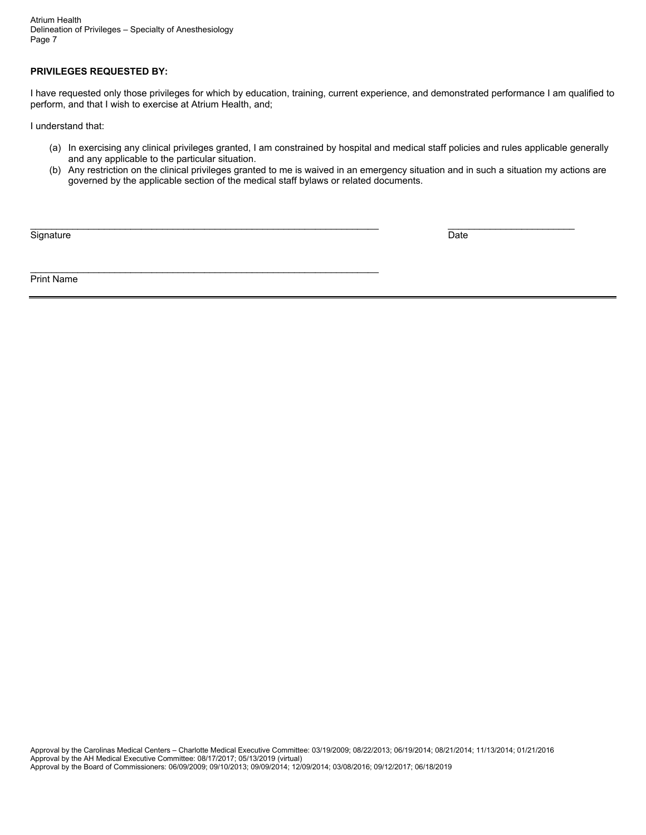## **PRIVILEGES REQUESTED BY:**

I have requested only those privileges for which by education, training, current experience, and demonstrated performance I am qualified to perform, and that I wish to exercise at Atrium Health, and;

I understand that:

- (a) In exercising any clinical privileges granted, I am constrained by hospital and medical staff policies and rules applicable generally and any applicable to the particular situation.
- (b) Any restriction on the clinical privileges granted to me is waived in an emergency situation and in such a situation my actions are governed by the applicable section of the medical staff bylaws or related documents.

 $\_$  , and the set of the set of the set of the set of the set of the set of the set of the set of the set of the set of the set of the set of the set of the set of the set of the set of the set of the set of the set of th

 $\_$  , and the set of the set of the set of the set of the set of the set of the set of the set of the set of the set of the set of the set of the set of the set of the set of the set of the set of the set of the set of th

Signature Date Date of the Date of the Date of the Date of the Date of the Date of the Date of the Date of the

Print Name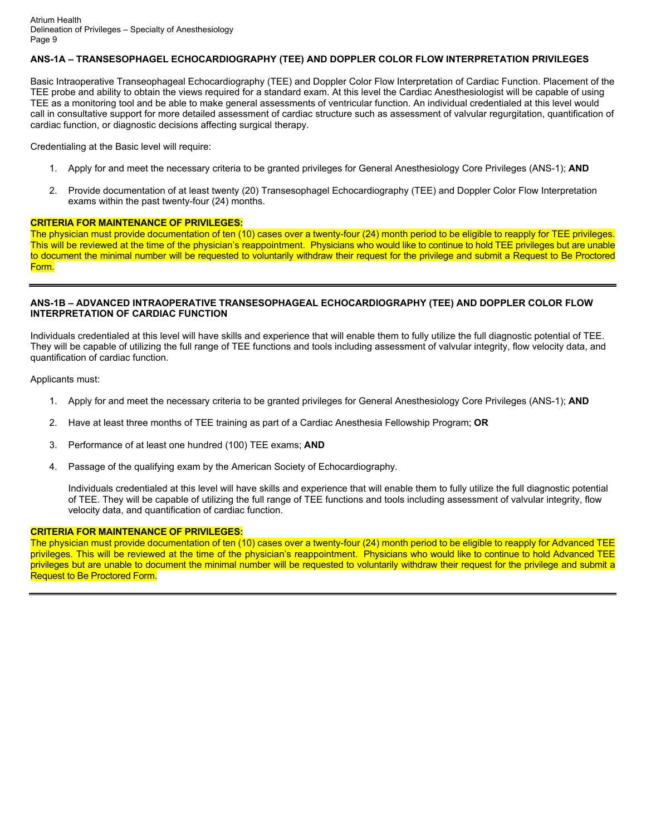# **ANS-1A – TRANSESOPHAGEL ECHOCARDIOGRAPHY (TEE) AND DOPPLER COLOR FLOW INTERPRETATION PRIVILEGES**

Basic Intraoperative Transeophageal Echocardiography (TEE) and Doppler Color Flow Interpretation of Cardiac Function. Placement of the TEE probe and ability to obtain the views required for a standard exam. At this level the Cardiac Anesthesiologist will be capable of using TEE as a monitoring tool and be able to make general assessments of ventricular function. An individual credentialed at this level would call in consultative support for more detailed assessment of cardiac structure such as assessment of valvular regurgitation, quantification of cardiac function, or diagnostic decisions affecting surgical therapy.

Credentialing at the Basic level will require:

- 1. Apply for and meet the necessary criteria to be granted privileges for General Anesthesiology Core Privileges (ANS-1); **AND**
- 2. Provide documentation of at least twenty (20) Transesophagel Echocardiography (TEE) and Doppler Color Flow Interpretation exams within the past twenty-four (24) months.

#### **CRITERIA FOR MAINTENANCE OF PRIVILEGES:**

The physician must provide documentation of ten (10) cases over a twenty-four (24) month period to be eligible to reapply for TEE privileges. This will be reviewed at the time of the physician's reappointment. Physicians who would like to continue to hold TEE privileges but are unable to document the minimal number will be requested to voluntarily withdraw their request for the privilege and submit a Request to Be Proctored Form.

## **ANS-1B – ADVANCED INTRAOPERATIVE TRANSESOPHAGEAL ECHOCARDIOGRAPHY (TEE) AND DOPPLER COLOR FLOW INTERPRETATION OF CARDIAC FUNCTION**

Individuals credentialed at this level will have skills and experience that will enable them to fully utilize the full diagnostic potential of TEE. They will be capable of utilizing the full range of TEE functions and tools including assessment of valvular integrity, flow velocity data, and quantification of cardiac function.

Applicants must:

- 1. Apply for and meet the necessary criteria to be granted privileges for General Anesthesiology Core Privileges (ANS-1); **AND**
- 2. Have at least three months of TEE training as part of a Cardiac Anesthesia Fellowship Program; **OR**
- 3. Performance of at least one hundred (100) TEE exams; **AND**
- 4. Passage of the qualifying exam by the American Society of Echocardiography.

Individuals credentialed at this level will have skills and experience that will enable them to fully utilize the full diagnostic potential of TEE. They will be capable of utilizing the full range of TEE functions and tools including assessment of valvular integrity, flow velocity data, and quantification of cardiac function.

## **CRITERIA FOR MAINTENANCE OF PRIVILEGES:**

The physician must provide documentation of ten (10) cases over a twenty-four (24) month period to be eligible to reapply for Advanced TEE privileges. This will be reviewed at the time of the physician's reappointment. Physicians who would like to continue to hold Advanced TEE privileges but are unable to document the minimal number will be requested to voluntarily withdraw their request for the privilege and submit a Request to Be Proctored Form.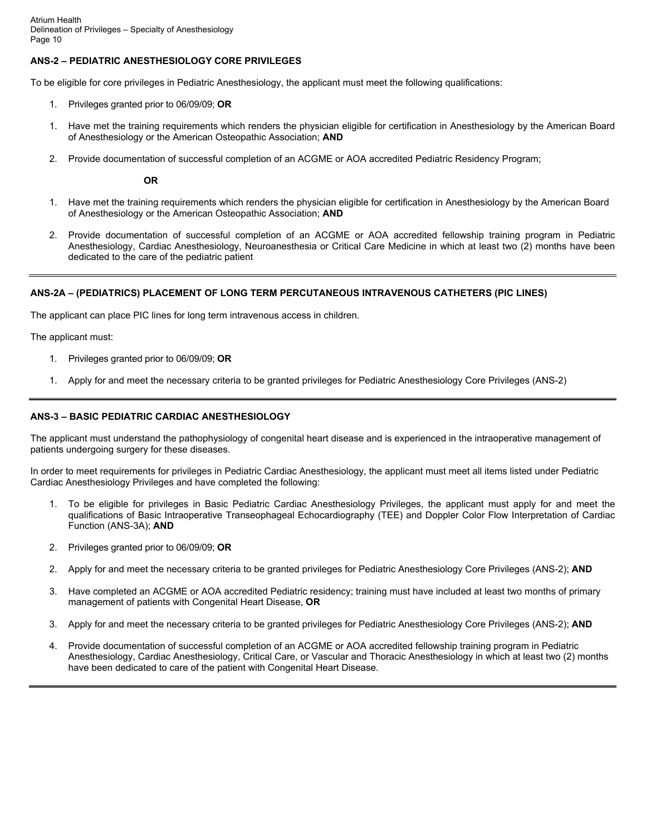# **ANS-2 – PEDIATRIC ANESTHESIOLOGY CORE PRIVILEGES**

To be eligible for core privileges in Pediatric Anesthesiology, the applicant must meet the following qualifications:

- 1. Privileges granted prior to 06/09/09; **OR**
- 1. Have met the training requirements which renders the physician eligible for certification in Anesthesiology by the American Board of Anesthesiology or the American Osteopathic Association; **AND**
- 2. Provide documentation of successful completion of an ACGME or AOA accredited Pediatric Residency Program;

**OR** 

- 1. Have met the training requirements which renders the physician eligible for certification in Anesthesiology by the American Board of Anesthesiology or the American Osteopathic Association; **AND**
- 2. Provide documentation of successful completion of an ACGME or AOA accredited fellowship training program in Pediatric Anesthesiology, Cardiac Anesthesiology, Neuroanesthesia or Critical Care Medicine in which at least two (2) months have been dedicated to the care of the pediatric patient

# **ANS-2A – (PEDIATRICS) PLACEMENT OF LONG TERM PERCUTANEOUS INTRAVENOUS CATHETERS (PIC LINES)**

The applicant can place PIC lines for long term intravenous access in children.

The applicant must:

- 1. Privileges granted prior to 06/09/09; **OR**
- 1. Apply for and meet the necessary criteria to be granted privileges for Pediatric Anesthesiology Core Privileges (ANS-2)

## **ANS-3 – BASIC PEDIATRIC CARDIAC ANESTHESIOLOGY**

The applicant must understand the pathophysiology of congenital heart disease and is experienced in the intraoperative management of patients undergoing surgery for these diseases.

In order to meet requirements for privileges in Pediatric Cardiac Anesthesiology, the applicant must meet all items listed under Pediatric Cardiac Anesthesiology Privileges and have completed the following:

- 1. To be eligible for privileges in Basic Pediatric Cardiac Anesthesiology Privileges, the applicant must apply for and meet the qualifications of Basic Intraoperative Transeophageal Echocardiography (TEE) and Doppler Color Flow Interpretation of Cardiac Function (ANS-3A); **AND**
- 2. Privileges granted prior to 06/09/09; **OR**
- 2. Apply for and meet the necessary criteria to be granted privileges for Pediatric Anesthesiology Core Privileges (ANS-2); **AND**
- 3. Have completed an ACGME or AOA accredited Pediatric residency; training must have included at least two months of primary management of patients with Congenital Heart Disease, **OR**
- 3. Apply for and meet the necessary criteria to be granted privileges for Pediatric Anesthesiology Core Privileges (ANS-2); **AND**
- 4. Provide documentation of successful completion of an ACGME or AOA accredited fellowship training program in Pediatric Anesthesiology, Cardiac Anesthesiology, Critical Care, or Vascular and Thoracic Anesthesiology in which at least two (2) months have been dedicated to care of the patient with Congenital Heart Disease.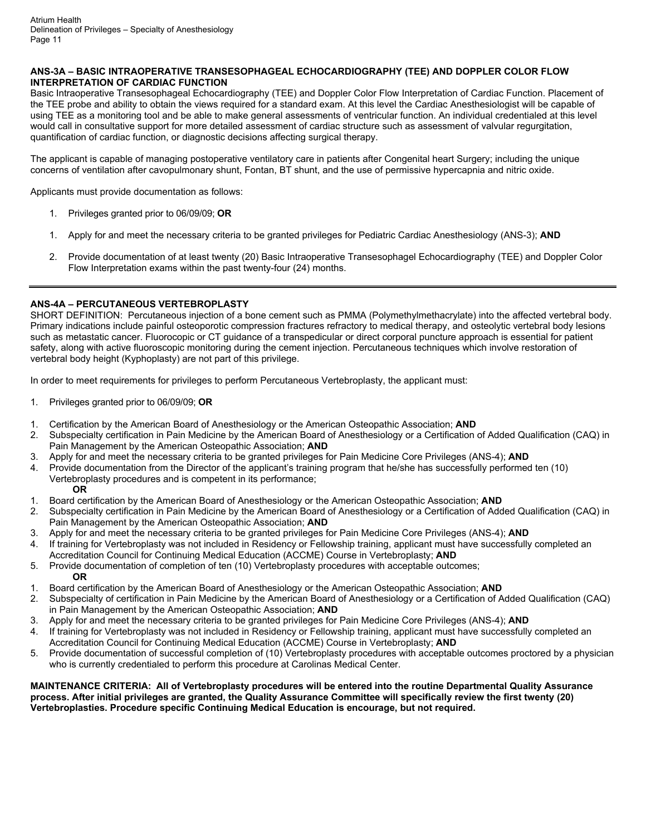## **ANS-3A – BASIC INTRAOPERATIVE TRANSESOPHAGEAL ECHOCARDIOGRAPHY (TEE) AND DOPPLER COLOR FLOW INTERPRETATION OF CARDIAC FUNCTION**

Basic Intraoperative Transesophageal Echocardiography (TEE) and Doppler Color Flow Interpretation of Cardiac Function. Placement of the TEE probe and ability to obtain the views required for a standard exam. At this level the Cardiac Anesthesiologist will be capable of using TEE as a monitoring tool and be able to make general assessments of ventricular function. An individual credentialed at this level would call in consultative support for more detailed assessment of cardiac structure such as assessment of valvular regurgitation, quantification of cardiac function, or diagnostic decisions affecting surgical therapy.

The applicant is capable of managing postoperative ventilatory care in patients after Congenital heart Surgery; including the unique concerns of ventilation after cavopulmonary shunt, Fontan, BT shunt, and the use of permissive hypercapnia and nitric oxide.

Applicants must provide documentation as follows:

- 1. Privileges granted prior to 06/09/09; **OR**
- 1. Apply for and meet the necessary criteria to be granted privileges for Pediatric Cardiac Anesthesiology (ANS-3); **AND**
- 2. Provide documentation of at least twenty (20) Basic Intraoperative Transesophagel Echocardiography (TEE) and Doppler Color Flow Interpretation exams within the past twenty-four (24) months.

# **ANS-4A – PERCUTANEOUS VERTEBROPLASTY**

SHORT DEFINITION: Percutaneous injection of a bone cement such as PMMA (Polymethylmethacrylate) into the affected vertebral body. Primary indications include painful osteoporotic compression fractures refractory to medical therapy, and osteolytic vertebral body lesions such as metastatic cancer. Fluorocopic or CT guidance of a transpedicular or direct corporal puncture approach is essential for patient safety, along with active fluoroscopic monitoring during the cement injection. Percutaneous techniques which involve restoration of vertebral body height (Kyphoplasty) are not part of this privilege.

In order to meet requirements for privileges to perform Percutaneous Vertebroplasty, the applicant must:

- 1. Privileges granted prior to 06/09/09; **OR**
- 1. Certification by the American Board of Anesthesiology or the American Osteopathic Association; **AND**
- 2. Subspecialty certification in Pain Medicine by the American Board of Anesthesiology or a Certification of Added Qualification (CAQ) in Pain Management by the American Osteopathic Association; **AND**
- 3. Apply for and meet the necessary criteria to be granted privileges for Pain Medicine Core Privileges (ANS-4); **AND**
- 4. Provide documentation from the Director of the applicant's training program that he/she has successfully performed ten (10) Vertebroplasty procedures and is competent in its performance; **OR**
- 1. Board certification by the American Board of Anesthesiology or the American Osteopathic Association; **AND**
- 2. Subspecialty certification in Pain Medicine by the American Board of Anesthesiology or a Certification of Added Qualification (CAQ) in Pain Management by the American Osteopathic Association; **AND**
- 3. Apply for and meet the necessary criteria to be granted privileges for Pain Medicine Core Privileges (ANS-4); **AND**
- 4. If training for Vertebroplasty was not included in Residency or Fellowship training, applicant must have successfully completed an Accreditation Council for Continuing Medical Education (ACCME) Course in Vertebroplasty; **AND**
- 5. Provide documentation of completion of ten (10) Vertebroplasty procedures with acceptable outcomes; **OR**
- 1. Board certification by the American Board of Anesthesiology or the American Osteopathic Association; **AND**
- 2. Subspecialty of certification in Pain Medicine by the American Board of Anesthesiology or a Certification of Added Qualification (CAQ) in Pain Management by the American Osteopathic Association; **AND**
- 3. Apply for and meet the necessary criteria to be granted privileges for Pain Medicine Core Privileges (ANS-4); **AND**
- 4. If training for Vertebroplasty was not included in Residency or Fellowship training, applicant must have successfully completed an Accreditation Council for Continuing Medical Education (ACCME) Course in Vertebroplasty; **AND**
- 5. Provide documentation of successful completion of (10) Vertebroplasty procedures with acceptable outcomes proctored by a physician who is currently credentialed to perform this procedure at Carolinas Medical Center.

**MAINTENANCE CRITERIA: All of Vertebroplasty procedures will be entered into the routine Departmental Quality Assurance process. After initial privileges are granted, the Quality Assurance Committee will specifically review the first twenty (20) Vertebroplasties. Procedure specific Continuing Medical Education is encourage, but not required.**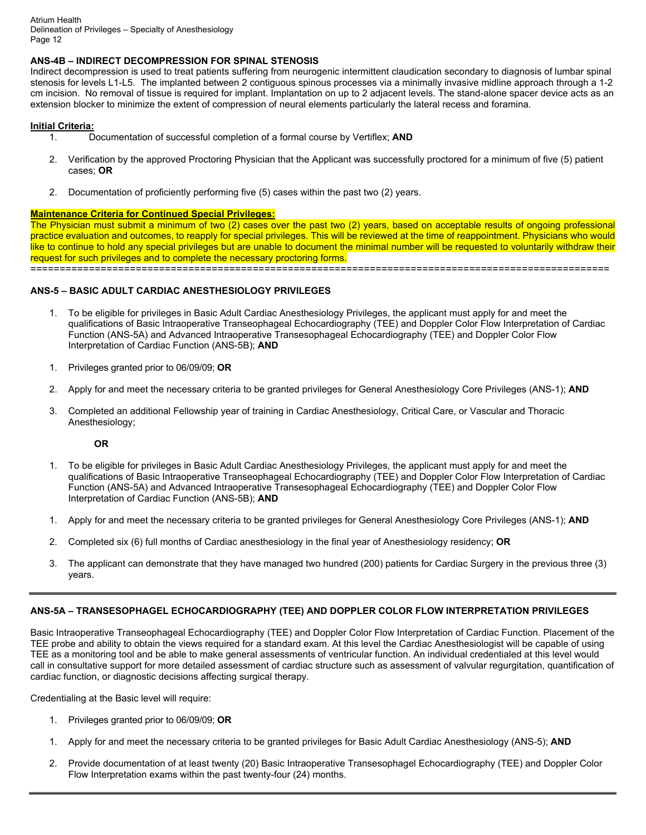## **ANS-4B – INDIRECT DECOMPRESSION FOR SPINAL STENOSIS**

Indirect decompression is used to treat patients suffering from neurogenic intermittent claudication secondary to diagnosis of lumbar spinal stenosis for levels L1-L5. The implanted between 2 contiguous spinous processes via a minimally invasive midline approach through a 1-2 cm incision. No removal of tissue is required for implant. Implantation on up to 2 adjacent levels. The stand-alone spacer device acts as an extension blocker to minimize the extent of compression of neural elements particularly the lateral recess and foramina.

## **Initial Criteria:**

- 1. Documentation of successful completion of a formal course by Vertiflex; **AND**
- 2. Verification by the approved Proctoring Physician that the Applicant was successfully proctored for a minimum of five (5) patient cases; **OR**
- 2. Documentation of proficiently performing five (5) cases within the past two (2) years.

#### **Maintenance Criteria for Continued Special Privileges:**

The Physician must submit a minimum of two (2) cases over the past two (2) years, based on acceptable results of ongoing professional practice evaluation and outcomes, to reapply for special privileges. This will be reviewed at the time of reappointment. Physicians who would like to continue to hold any special privileges but are unable to document the minimal number will be requested to voluntarily withdraw their request for such privileges and to complete the necessary proctoring forms. ===================================================================================================

#### **ANS-5 – BASIC ADULT CARDIAC ANESTHESIOLOGY PRIVILEGES**

- 1. To be eligible for privileges in Basic Adult Cardiac Anesthesiology Privileges, the applicant must apply for and meet the qualifications of Basic Intraoperative Transeophageal Echocardiography (TEE) and Doppler Color Flow Interpretation of Cardiac Function (ANS-5A) and Advanced Intraoperative Transesophageal Echocardiography (TEE) and Doppler Color Flow Interpretation of Cardiac Function (ANS-5B); **AND**
- 1. Privileges granted prior to 06/09/09; **OR**
- 2. Apply for and meet the necessary criteria to be granted privileges for General Anesthesiology Core Privileges (ANS-1); **AND**
- 3. Completed an additional Fellowship year of training in Cardiac Anesthesiology, Critical Care, or Vascular and Thoracic Anesthesiology;

#### **OR**

- 1. To be eligible for privileges in Basic Adult Cardiac Anesthesiology Privileges, the applicant must apply for and meet the qualifications of Basic Intraoperative Transeophageal Echocardiography (TEE) and Doppler Color Flow Interpretation of Cardiac Function (ANS-5A) and Advanced Intraoperative Transesophageal Echocardiography (TEE) and Doppler Color Flow Interpretation of Cardiac Function (ANS-5B); **AND**
- 1. Apply for and meet the necessary criteria to be granted privileges for General Anesthesiology Core Privileges (ANS-1); **AND**
- 2. Completed six (6) full months of Cardiac anesthesiology in the final year of Anesthesiology residency; **OR**
- 3. The applicant can demonstrate that they have managed two hundred (200) patients for Cardiac Surgery in the previous three (3) years.

# **ANS-5A – TRANSESOPHAGEL ECHOCARDIOGRAPHY (TEE) AND DOPPLER COLOR FLOW INTERPRETATION PRIVILEGES**

Basic Intraoperative Transeophageal Echocardiography (TEE) and Doppler Color Flow Interpretation of Cardiac Function. Placement of the TEE probe and ability to obtain the views required for a standard exam. At this level the Cardiac Anesthesiologist will be capable of using TEE as a monitoring tool and be able to make general assessments of ventricular function. An individual credentialed at this level would call in consultative support for more detailed assessment of cardiac structure such as assessment of valvular regurgitation, quantification of cardiac function, or diagnostic decisions affecting surgical therapy.

Credentialing at the Basic level will require:

- 1. Privileges granted prior to 06/09/09; **OR**
- 1. Apply for and meet the necessary criteria to be granted privileges for Basic Adult Cardiac Anesthesiology (ANS-5); **AND**
- 2. Provide documentation of at least twenty (20) Basic Intraoperative Transesophagel Echocardiography (TEE) and Doppler Color Flow Interpretation exams within the past twenty-four (24) months.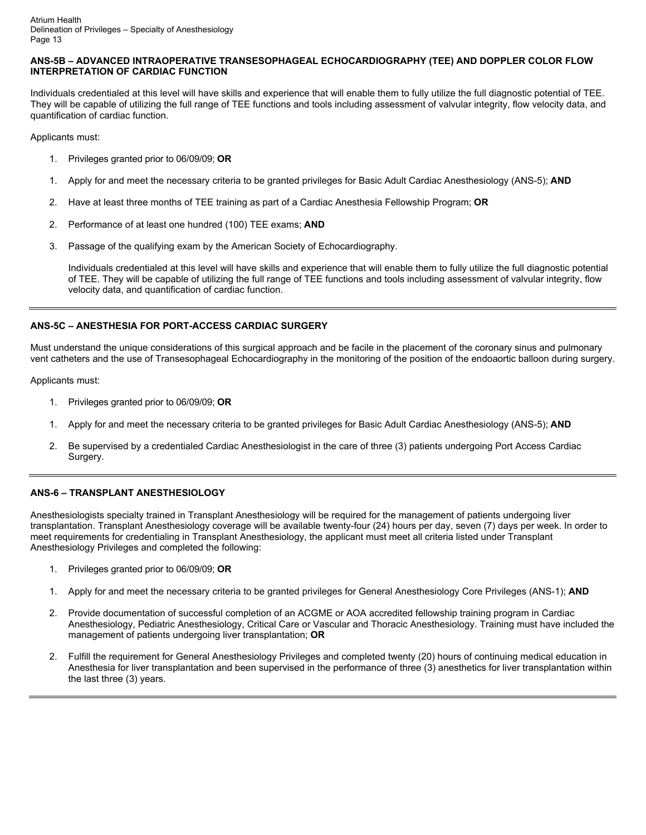## **ANS-5B – ADVANCED INTRAOPERATIVE TRANSESOPHAGEAL ECHOCARDIOGRAPHY (TEE) AND DOPPLER COLOR FLOW INTERPRETATION OF CARDIAC FUNCTION**

Individuals credentialed at this level will have skills and experience that will enable them to fully utilize the full diagnostic potential of TEE. They will be capable of utilizing the full range of TEE functions and tools including assessment of valvular integrity, flow velocity data, and quantification of cardiac function.

Applicants must:

- 1. Privileges granted prior to 06/09/09; **OR**
- 1. Apply for and meet the necessary criteria to be granted privileges for Basic Adult Cardiac Anesthesiology (ANS-5); **AND**
- 2. Have at least three months of TEE training as part of a Cardiac Anesthesia Fellowship Program; **OR**
- 2. Performance of at least one hundred (100) TEE exams; **AND**
- 3. Passage of the qualifying exam by the American Society of Echocardiography.

Individuals credentialed at this level will have skills and experience that will enable them to fully utilize the full diagnostic potential of TEE. They will be capable of utilizing the full range of TEE functions and tools including assessment of valvular integrity, flow velocity data, and quantification of cardiac function.

# **ANS-5C – ANESTHESIA FOR PORT-ACCESS CARDIAC SURGERY**

Must understand the unique considerations of this surgical approach and be facile in the placement of the coronary sinus and pulmonary vent catheters and the use of Transesophageal Echocardiography in the monitoring of the position of the endoaortic balloon during surgery.

Applicants must:

- 1. Privileges granted prior to 06/09/09; **OR**
- 1. Apply for and meet the necessary criteria to be granted privileges for Basic Adult Cardiac Anesthesiology (ANS-5); **AND**
- 2. Be supervised by a credentialed Cardiac Anesthesiologist in the care of three (3) patients undergoing Port Access Cardiac Surgery.

# **ANS-6 – TRANSPLANT ANESTHESIOLOGY**

Anesthesiologists specialty trained in Transplant Anesthesiology will be required for the management of patients undergoing liver transplantation. Transplant Anesthesiology coverage will be available twenty-four (24) hours per day, seven (7) days per week. In order to meet requirements for credentialing in Transplant Anesthesiology, the applicant must meet all criteria listed under Transplant Anesthesiology Privileges and completed the following:

- 1. Privileges granted prior to 06/09/09; **OR**
- 1. Apply for and meet the necessary criteria to be granted privileges for General Anesthesiology Core Privileges (ANS-1); **AND**
- 2. Provide documentation of successful completion of an ACGME or AOA accredited fellowship training program in Cardiac Anesthesiology, Pediatric Anesthesiology, Critical Care or Vascular and Thoracic Anesthesiology. Training must have included the management of patients undergoing liver transplantation; **OR**
- 2. Fulfill the requirement for General Anesthesiology Privileges and completed twenty (20) hours of continuing medical education in Anesthesia for liver transplantation and been supervised in the performance of three (3) anesthetics for liver transplantation within the last three (3) years.